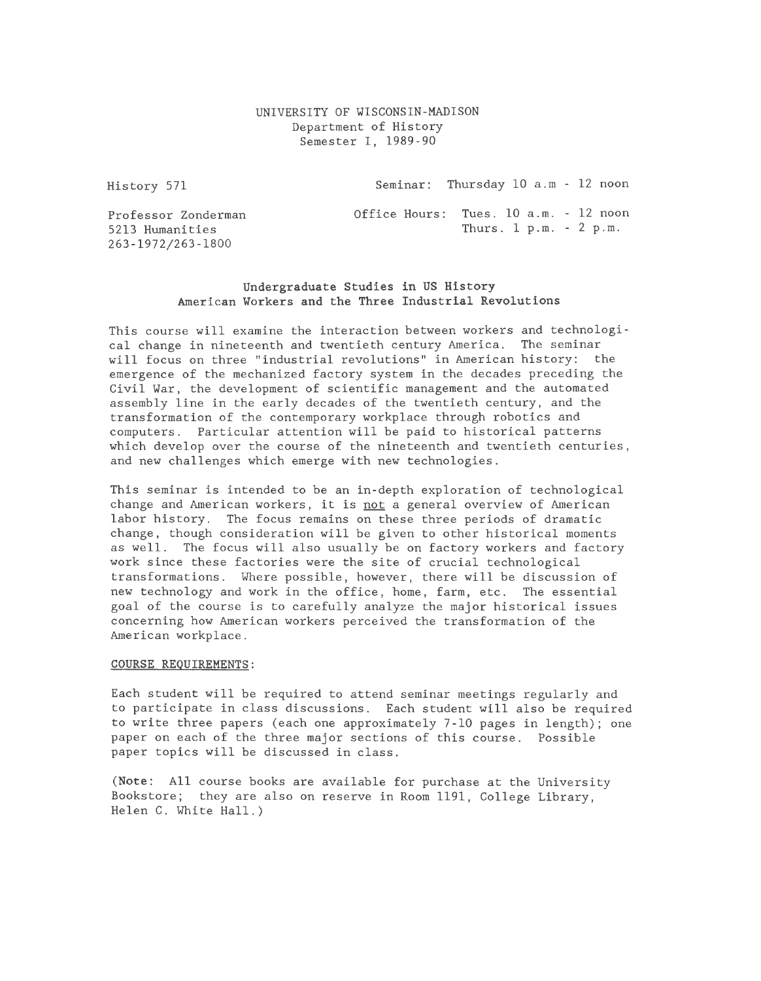# UNIVERSITY OF WISCONSIN-MADISON Department of History Semester I, 1989-90

History 571

Seminar: Thursday 10 a.m - 12 noon

Professor Zonderrnan 5213 Humanities 263-1972/263-1800

Office Hours: Tues. 10 a.m. - 12 noon Thurs. 1 p.m. - 2 p.m.

# Undergraduate Studies in US History American Workers and the Three Industrial Revolutions

This course will examine the interaction between workers and technological change in nineteenth and twentieth century America. The seminar will focus on three "industrial revolutions" in American history: the emergence of the mechanized factory system in the decades preceding the Civil War, the development of scientific management and the automated assembly line in the early decades of the twentieth century, and the transformation of the contemporary workplace through robotics and computers. Particular attention will be paid to historical patterns which develop over the course of the nineteenth and twentieth centuries, and new challenges which emerge with new technologies.

This seminar is intended to be an in-depth exploration of technological change and American workers, it is not a general overview of American labor history. The focus remains on these three periods of dramatic change, though consideration will be given to other historical moments as well. The focus will also usually be on factory workers and factory work since these factories were the site of crucial technological transformations. Where possible, however, there will be discussion of new technology and work in the office, home, farm, etc. The essential goal of the course is to carefully analyze the major historical issues concerning how American workers perceived the transformation of the American workplace.

### COURSE REQUIREMENTS:

Each student will be required to attend seminar meetings regularly and to participate in class discussions. Each student will also be required to write three papers (each one approximately 7-10 pages in length); one paper on each of the three major sections of this course. Possible paper topics will be discussed in class.

(Note: All course books are available for purchase at the University Bookstore; they are also on reserve in Room 1191, College Library, Helen C. White Hall.)